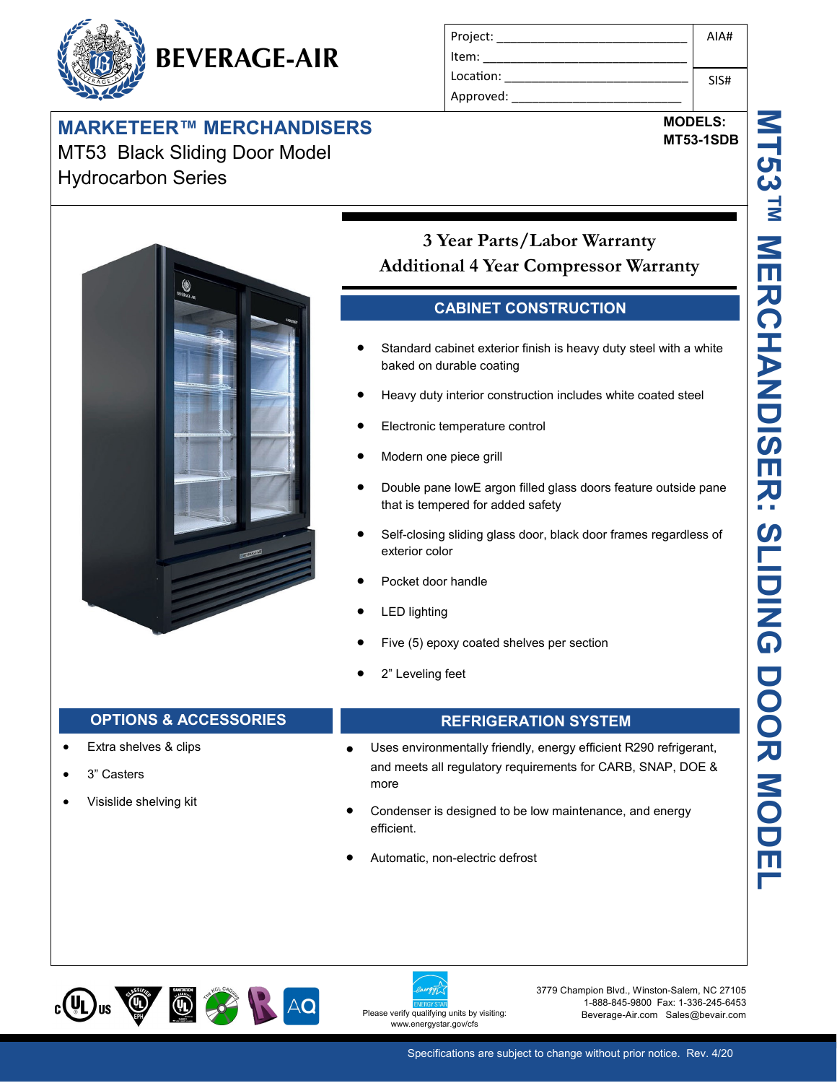

# **MARKETEER™ MERCHANDISERS**<br>MT53-1SDB MT53 Black Sliding Door Model Hydrocarbon Series

| Project:  | AIA# |
|-----------|------|
| Item:     |      |
| Location: | SIS# |
| Approved: |      |

# **MODELS:**



## **3 Year Parts/Labor Warranty Additional 4 Year Compressor Warranty**

### **CABINET CONSTRUCTION**

- Standard cabinet exterior finish is heavy duty steel with a white baked on durable coating
- Heavy duty interior construction includes white coated steel
- Electronic temperature control
- Modern one piece grill
- Double pane lowE argon filled glass doors feature outside pane that is tempered for added safety
- Self-closing sliding glass door, black door frames regardless of exterior color
- Pocket door handle
- LED lighting
- Five (5) epoxy coated shelves per section
- 2" Leveling feet

#### **OPTIONS & ACCESSORIES REFRIGERATION SYSTEM**

- Extra shelves & clips
- 3" Casters
- Visislide shelving kit

- Uses environmentally friendly, energy efficient R290 refrigerant, and meets all regulatory requirements for CARB, SNAP, DOE & more
- Condenser is designed to be low maintenance, and energy efficient.
- Automatic, non-electric defrost



www.energystar.gov/cfs

3779 Champion Blvd., Winston-Salem, NC 27105 1-888-845-9800 Fax: 1-336-245-6453 Please verify qualifying units by visiting: Beverage-Air.com Sales@bevair.com